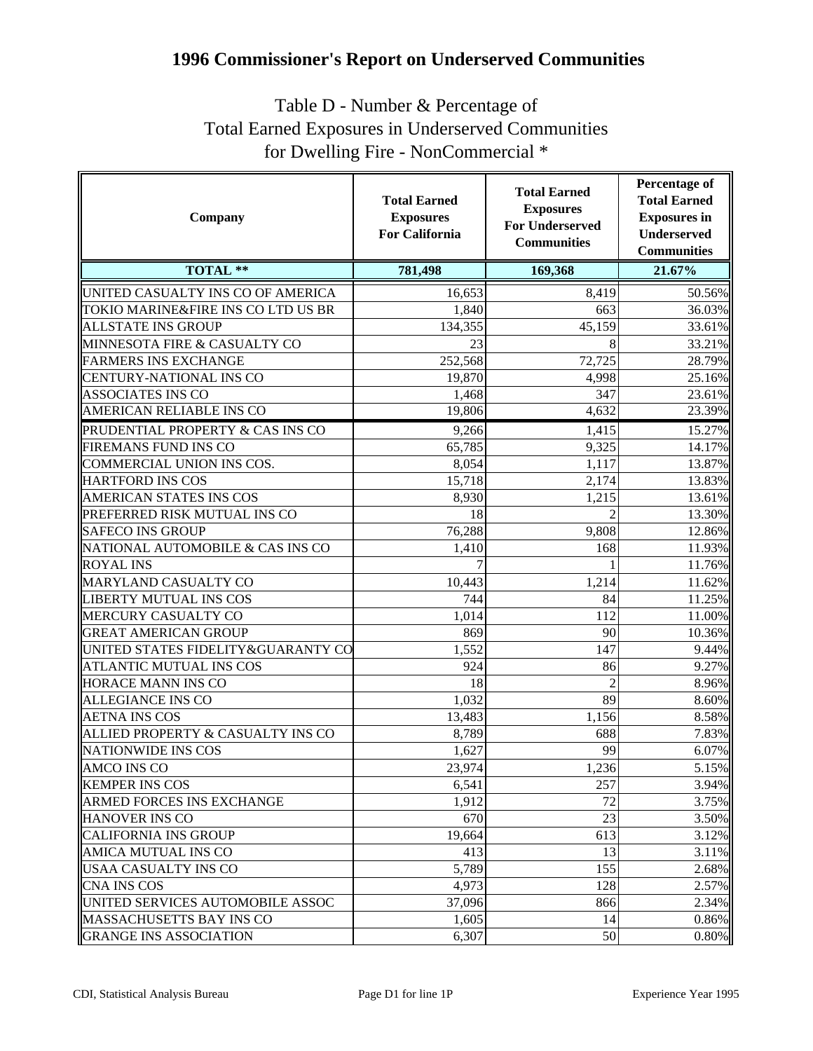## **1996 Commissioner's Report on Underserved Communities**

## Table D - Number & Percentage of Total Earned Exposures in Underserved Communities for Dwelling Fire - NonCommercial \*

| Company                            | <b>Total Earned</b><br><b>Exposures</b><br><b>For California</b> | <b>Total Earned</b><br><b>Exposures</b><br><b>For Underserved</b><br><b>Communities</b> | <b>Percentage of</b><br><b>Total Earned</b><br><b>Exposures</b> in<br>Underserved<br><b>Communities</b> |
|------------------------------------|------------------------------------------------------------------|-----------------------------------------------------------------------------------------|---------------------------------------------------------------------------------------------------------|
| <b>TOTAL **</b>                    | 781,498                                                          | 169,368                                                                                 | 21.67%                                                                                                  |
| UNITED CASUALTY INS CO OF AMERICA  | 16,653                                                           | 8,419                                                                                   | 50.56%                                                                                                  |
| TOKIO MARINE&FIRE INS CO LTD US BR | 1,840                                                            | 663                                                                                     | 36.03%                                                                                                  |
| <b>ALLSTATE INS GROUP</b>          | 134,355                                                          | 45,159                                                                                  | 33.61%                                                                                                  |
| MINNESOTA FIRE & CASUALTY CO       | 23                                                               | 8                                                                                       | 33.21%                                                                                                  |
| <b>FARMERS INS EXCHANGE</b>        | 252,568                                                          | 72,725                                                                                  | 28.79%                                                                                                  |
| <b>CENTURY-NATIONAL INS CO</b>     | 19,870                                                           | 4,998                                                                                   | 25.16%                                                                                                  |
| ASSOCIATES INS CO                  | 1,468                                                            | 347                                                                                     | 23.61%                                                                                                  |
| AMERICAN RELIABLE INS CO           | 19,806                                                           | 4,632                                                                                   | 23.39%                                                                                                  |
| PRUDENTIAL PROPERTY & CAS INS CO   | 9,266                                                            | 1,415                                                                                   | 15.27%                                                                                                  |
| FIREMANS FUND INS CO               | 65,785                                                           | 9,325                                                                                   | 14.17%                                                                                                  |
| COMMERCIAL UNION INS COS.          | 8,054                                                            | 1,117                                                                                   | 13.87%                                                                                                  |
| <b>HARTFORD INS COS</b>            | 15,718                                                           | 2,174                                                                                   | 13.83%                                                                                                  |
| AMERICAN STATES INS COS            | 8,930                                                            | 1,215                                                                                   | 13.61%                                                                                                  |
| PREFERRED RISK MUTUAL INS CO       | 18                                                               | $\mathfrak{D}$                                                                          | 13.30%                                                                                                  |
| <b>SAFECO INS GROUP</b>            | 76,288                                                           | 9,808                                                                                   | 12.86%                                                                                                  |
| NATIONAL AUTOMOBILE & CAS INS CO   | 1,410                                                            | 168                                                                                     | 11.93%                                                                                                  |
| <b>ROYAL INS</b>                   |                                                                  |                                                                                         | 11.76%                                                                                                  |
| MARYLAND CASUALTY CO               | 10,443                                                           | 1,214                                                                                   | 11.62%                                                                                                  |
| <b>LIBERTY MUTUAL INS COS</b>      | 744                                                              | 84                                                                                      | 11.25%                                                                                                  |
| MERCURY CASUALTY CO                | 1,014                                                            | 112                                                                                     | 11.00%                                                                                                  |
| <b>GREAT AMERICAN GROUP</b>        | 869                                                              | 90                                                                                      | 10.36%                                                                                                  |
| UNITED STATES FIDELITY&GUARANTY CO | 1,552                                                            | 147                                                                                     | 9.44%                                                                                                   |
| ATLANTIC MUTUAL INS COS            | 924                                                              | 86                                                                                      | 9.27%                                                                                                   |
| HORACE MANN INS CO                 | 18                                                               | $\overline{2}$                                                                          | 8.96%                                                                                                   |
| <b>ALLEGIANCE INS CO</b>           | 1,032                                                            | 89                                                                                      | 8.60%                                                                                                   |
| <b>AETNA INS COS</b>               | 13,483                                                           | 1,156                                                                                   | 8.58%                                                                                                   |
| ALLIED PROPERTY & CASUALTY INS CO  | 8,789                                                            | 688                                                                                     | 7.83%                                                                                                   |
| <b>NATIONWIDE INS COS</b>          | 1,627                                                            | 99                                                                                      | 6.07%                                                                                                   |
| AMCO INS CO                        | 23,974                                                           | 1,236                                                                                   | 5.15%                                                                                                   |
| <b>KEMPER INS COS</b>              | 6,541                                                            | 257                                                                                     | 3.94%                                                                                                   |
| <b>ARMED FORCES INS EXCHANGE</b>   | 1,912                                                            | 72                                                                                      | 3.75%                                                                                                   |
| <b>HANOVER INS CO</b>              | 670                                                              | 23                                                                                      | 3.50%                                                                                                   |
| <b>CALIFORNIA INS GROUP</b>        | 19,664                                                           | 613                                                                                     | 3.12%                                                                                                   |
| <b>AMICA MUTUAL INS CO</b>         | 413                                                              | 13                                                                                      | 3.11%                                                                                                   |
| USAA CASUALTY INS CO               | 5,789                                                            | 155                                                                                     | 2.68%                                                                                                   |
| <b>CNA INS COS</b>                 | 4,973                                                            | 128                                                                                     | 2.57%                                                                                                   |
| UNITED SERVICES AUTOMOBILE ASSOC   | 37,096                                                           | 866                                                                                     | 2.34%                                                                                                   |
| <b>MASSACHUSETTS BAY INS CO</b>    | 1,605                                                            | 14                                                                                      | 0.86%                                                                                                   |
| <b>GRANGE INS ASSOCIATION</b>      | 6,307                                                            | 50                                                                                      | 0.80%                                                                                                   |